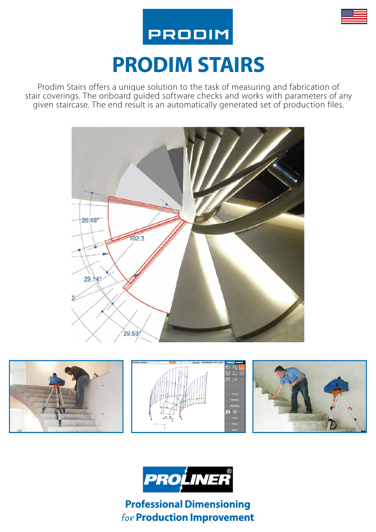

# **PRODIM STAIRS**

**PRODIM** 

Prodim Stairs offers a unique solution to the task of measuring and fabrication of stair coverings. The onboard guided software checks and works with parameters of any given staircase. The end result is an automatically generated set of production files.







**Professional Dimensioning** for Production Improvement